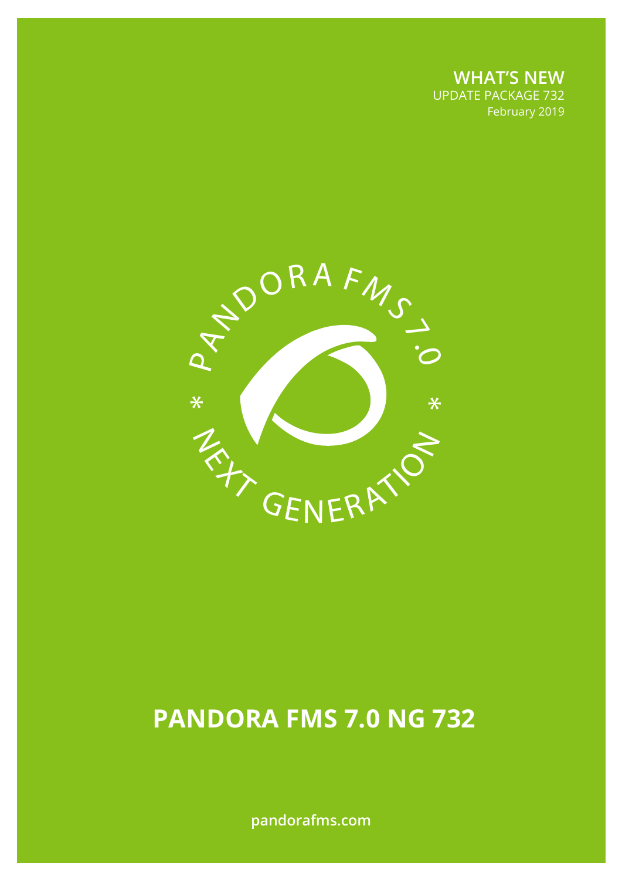**WHAT'S NEW** UPDATE PACKAGE 732 February 2019



# **PANDORA FMS 7.0 NG 732**

**pandorafms.com**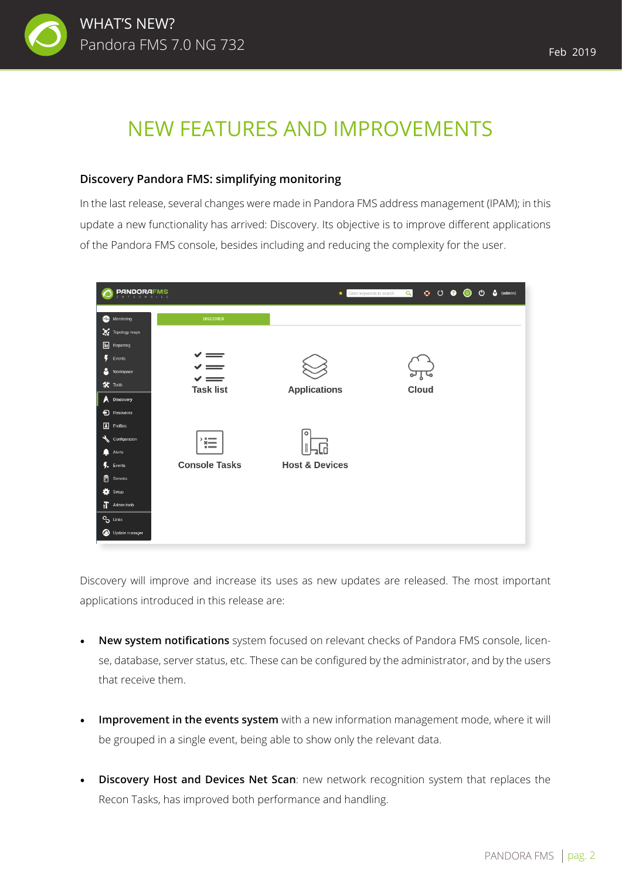

## NEW FEATURES AND IMPROVEMENTS

#### **Discovery Pandora FMS: simplifying monitoring**

In the last release, several changes were made in Pandora FMS address management (IPAM); in this update a new functionality has arrived: Discovery. Its objective is to improve different applications of the Pandora FMS console, besides including and reducing the complexity for the user.

| <b>PANDORAFMS</b><br>E D D D                                     |                                                      | Enter keywords to search<br>$\star$ | $\circ$ $\circ$ $\circ$ $\circ$<br>$\alpha$ | $\bullet$ (admin)<br>$\circ$ |
|------------------------------------------------------------------|------------------------------------------------------|-------------------------------------|---------------------------------------------|------------------------------|
| Monitoring                                                       | <b>DISCOVER</b>                                      |                                     |                                             |                              |
| Topology maps<br>圖<br>Reporting                                  |                                                      |                                     |                                             |                              |
| $\blacktriangleright$ Events<br>Β<br>Workspace                   | $\checkmark$ $=$<br>$\checkmark$ =<br>$\checkmark$ = |                                     |                                             |                              |
| $\mathbf{\hat{x}}$ Tools<br>Discovery<br>А<br><b>a</b> Resources | <b>Task list</b>                                     | <b>Applications</b>                 | Cloud                                       |                              |
| $\boxed{\blacksquare}$ Profiles<br>Configuration                 | $, -$<br>$x \rightarrow$                             | $\circ$                             |                                             |                              |
| $\blacksquare$<br>Alerts<br>$\blacktriangleright$ Events         | $\overline{\phantom{a}}$<br><b>Console Tasks</b>     | <b>Host &amp; Devices</b>           |                                             |                              |
| ₿<br>Servers<br><b>to</b> Setup                                  |                                                      |                                     |                                             |                              |
| $\prod$ Admin tools<br>$\mathbf{e}_{\mathbf{e}}$ Links           |                                                      |                                     |                                             |                              |
| Update manager                                                   |                                                      |                                     |                                             |                              |

Discovery will improve and increase its uses as new updates are released. The most important applications introduced in this release are:

- **New system notifications** system focused on relevant checks of Pandora FMS console, license, database, server status, etc. These can be configured by the administrator, and by the users that receive them.
- **Improvement in the events system** with a new information management mode, where it will be grouped in a single event, being able to show only the relevant data.
- **Discovery Host and Devices Net Scan**: new network recognition system that replaces the Recon Tasks, has improved both performance and handling.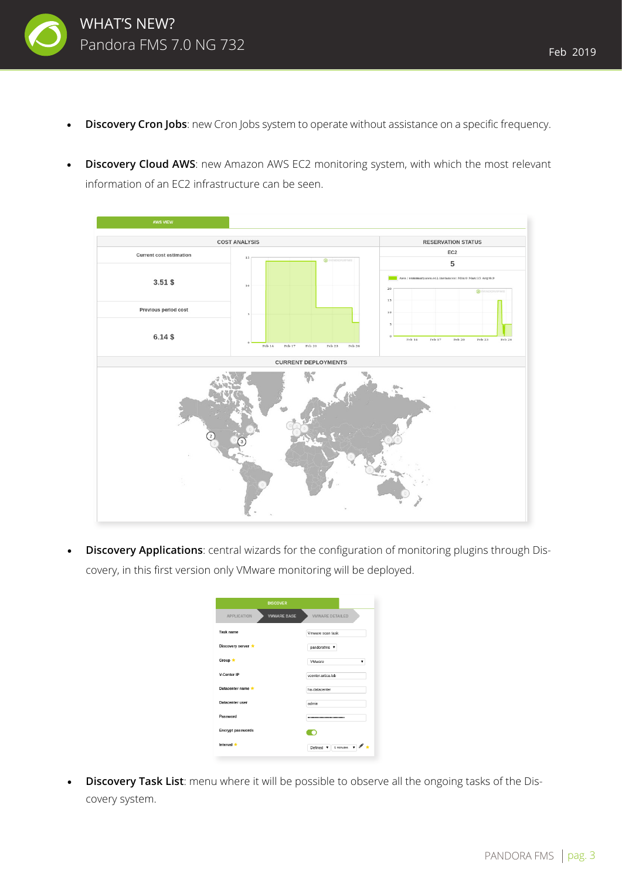

- **Discovery Cron Jobs**: new Cron Jobs system to operate without assistance on a specific frequency.
- **Discovery Cloud AWS**: new Amazon AWS EC2 monitoring system, with which the most relevant information of an EC2 infrastructure can be seen.



**Discovery Applications**: central wizards for the configuration of monitoring plugins through Discovery, in this first version only VMware monitoring will be deployed.

|                          | <b>DISCOVER</b>    |                                           |
|--------------------------|--------------------|-------------------------------------------|
| <b>APPLICATION</b>       | <b>VMWARE BASE</b> | VMWARE DETAILED                           |
| <b>Task name</b>         |                    | Vmware scan task                          |
| Discovery server *       |                    | pandorafms v                              |
| Group *                  |                    | VMware                                    |
| V-Center IP              |                    | vcenter.artica.lab                        |
| Datacenter name          |                    | ha-datacenter                             |
| Datacenter user          |                    | admin                                     |
| Password                 |                    |                                           |
| <b>Encrypt passwords</b> |                    |                                           |
| Interval *               |                    | 5 minutes<br>Defined $\blacktriangledown$ |

**Discovery Task List**: menu where it will be possible to observe all the ongoing tasks of the Discovery system.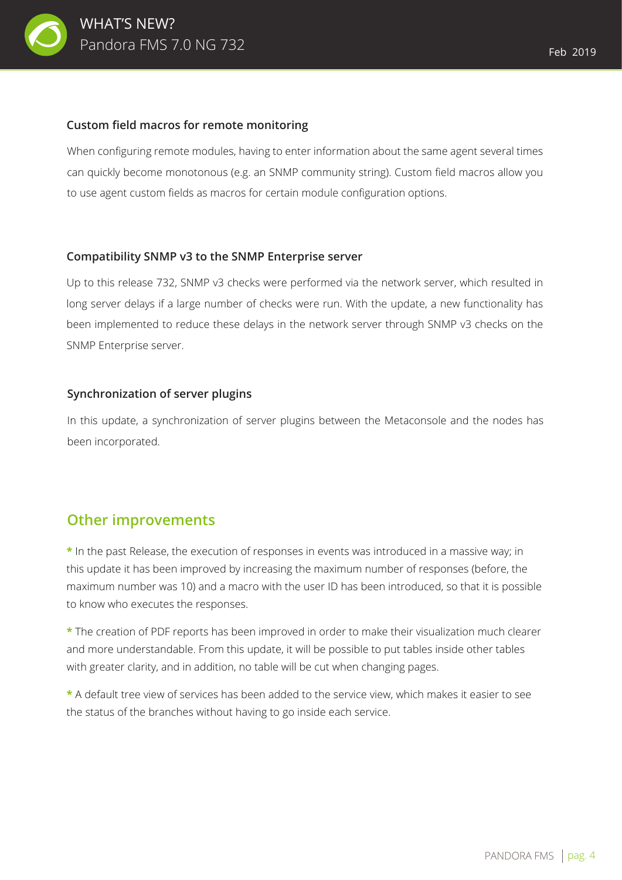

When configuring remote modules, having to enter information about the same agent several times can quickly become monotonous (e.g. an SNMP community string). Custom field macros allow you to use agent custom fields as macros for certain module configuration options.

#### **Compatibility SNMP v3 to the SNMP Enterprise server**

Up to this release 732, SNMP v3 checks were performed via the network server, which resulted in long server delays if a large number of checks were run. With the update, a new functionality has been implemented to reduce these delays in the network server through SNMP v3 checks on the SNMP Enterprise server.

#### **Synchronization of server plugins**

In this update, a synchronization of server plugins between the Metaconsole and the nodes has been incorporated.

### **Other improvements**

**\*** In the past Release, the execution of responses in events was introduced in a massive way; in this update it has been improved by increasing the maximum number of responses (before, the maximum number was 10) and a macro with the user ID has been introduced, so that it is possible to know who executes the responses.

**\*** The creation of PDF reports has been improved in order to make their visualization much clearer and more understandable. From this update, it will be possible to put tables inside other tables with greater clarity, and in addition, no table will be cut when changing pages.

**\*** A default tree view of services has been added to the service view, which makes it easier to see the status of the branches without having to go inside each service.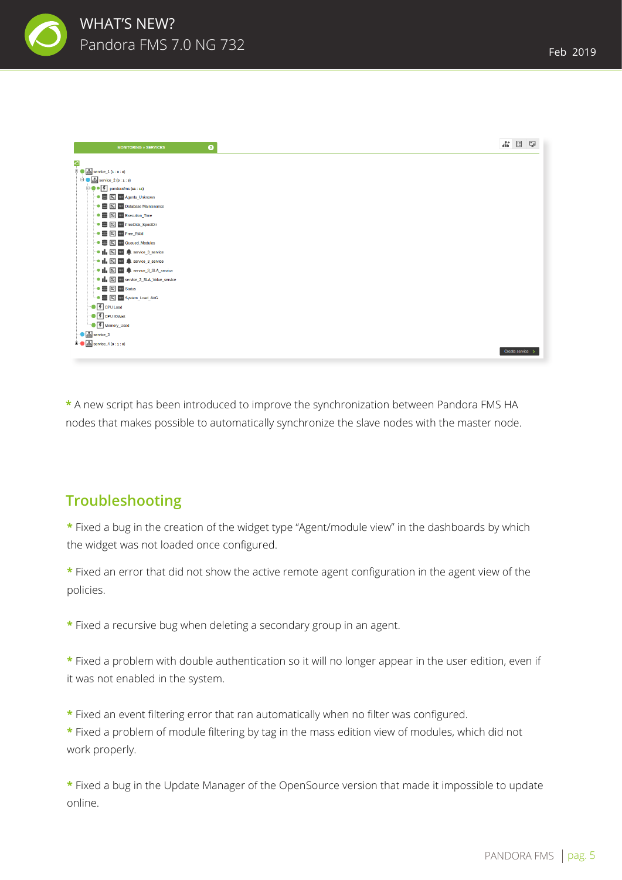

| $\bullet$<br><b>MONITORING » SERVICES</b>                                       | $\frac{1}{2}$<br>国<br>Q |
|---------------------------------------------------------------------------------|-------------------------|
| 0                                                                               |                         |
| $\overline{\mathbb{B}}$ $\bullet$ $\overline{\mathbb{B}}$ service_1 (1 : 0 : 0) |                         |
| $\overline{E}$ $\overline{B}$ service 2 (o : 1 : 3)                             |                         |
| $\overline{\bullet}$ $\bullet$ $\overline{\bullet}$ pandoralms (11 : 11)        |                         |
| <b>DE X</b> 101 Agents_Unknown                                                  |                         |
| → 图 反 101 Database Maintenance                                                  |                         |
| → ■                   Execution_Time                                            |                         |
| DE E 101 FreeDisk_SpoolDir                                                      |                         |
| <b>DE X</b> 101 Free_RAM                                                        |                         |
| → ■ 文 101 Queued_Modules                                                        |                         |
| • I E 101 4 service_3_service                                                   |                         |
| $\bullet$   $\boxtimes$ 101 $\clubsuit$ service 3_service                       |                         |
| • II. <b>IC</b> 101 <b>C</b> service_3_SLA_service                              |                         |
|                                                                                 |                         |
| $\bullet$ $\blacksquare$ $\boxtimes$ $\blacksquare$ Status                      |                         |
| - ■                   System_Load_AVG                                           |                         |
| <b>CPU Load</b>                                                                 |                         |
| <b>CPU IOWait</b>                                                               |                         |
| <sup></sup> ● F Memory_Used                                                     |                         |
| <b>Base</b> service_3                                                           |                         |
| $\overline{B}$ $\overline{B}$ service_4 (0 : 1 : 0)                             |                         |
|                                                                                 | Create service          |

**\*** A new script has been introduced to improve the synchronization between Pandora FMS HA nodes that makes possible to automatically synchronize the slave nodes with the master node.

## **Troubleshooting**

**\*** Fixed a bug in the creation of the widget type "Agent/module view" in the dashboards by which the widget was not loaded once configured.

**\*** Fixed an error that did not show the active remote agent configuration in the agent view of the policies.

**\*** Fixed a recursive bug when deleting a secondary group in an agent.

**\*** Fixed a problem with double authentication so it will no longer appear in the user edition, even if it was not enabled in the system.

**\*** Fixed an event filtering error that ran automatically when no filter was configured.

**\*** Fixed a problem of module filtering by tag in the mass edition view of modules, which did not work properly.

**\*** Fixed a bug in the Update Manager of the OpenSource version that made it impossible to update online.